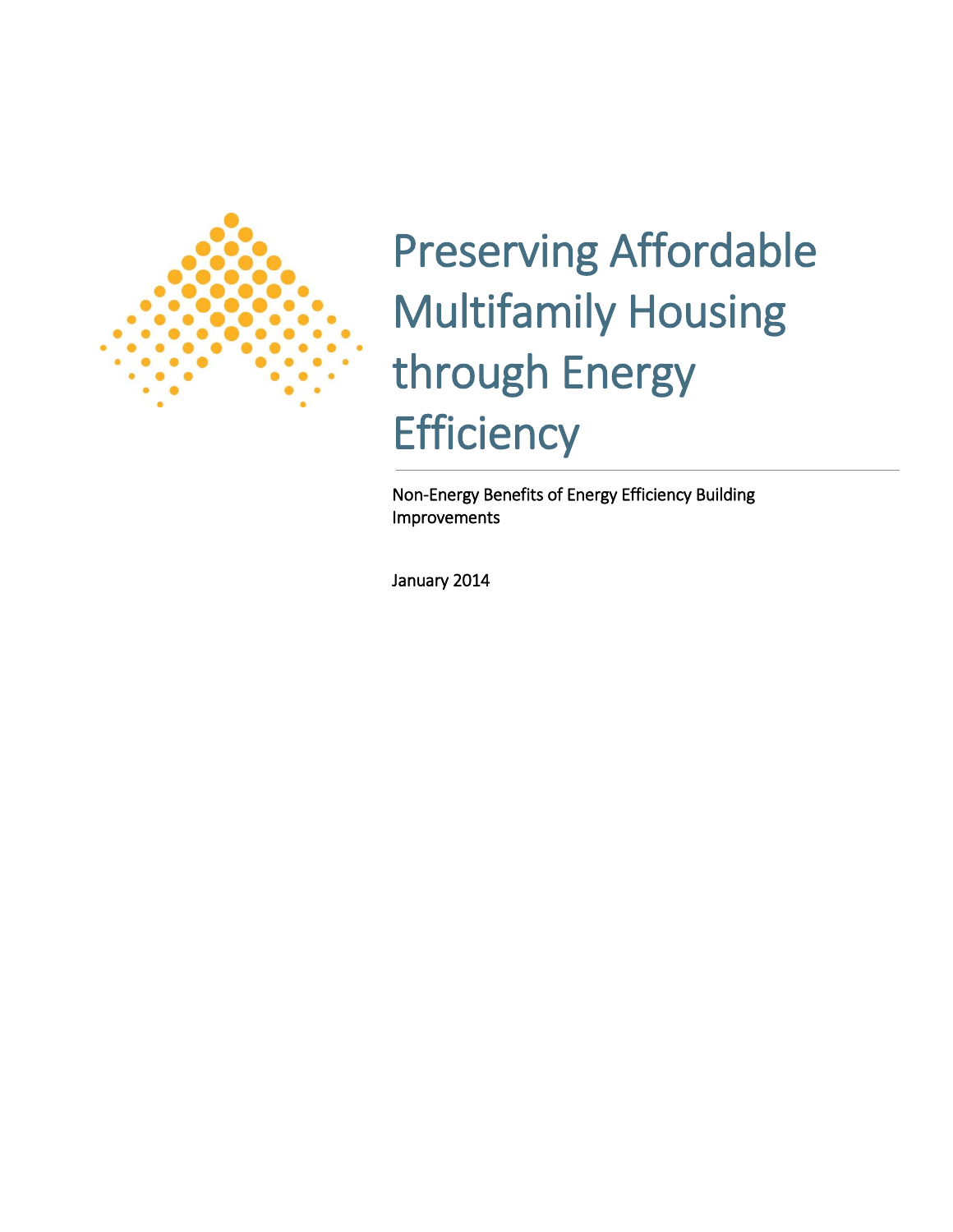

# Preserving Affordable Multifamily Housing through Energy **Efficiency**

Non-Energy Benefits of Energy Efficiency Building Improvements

January 2014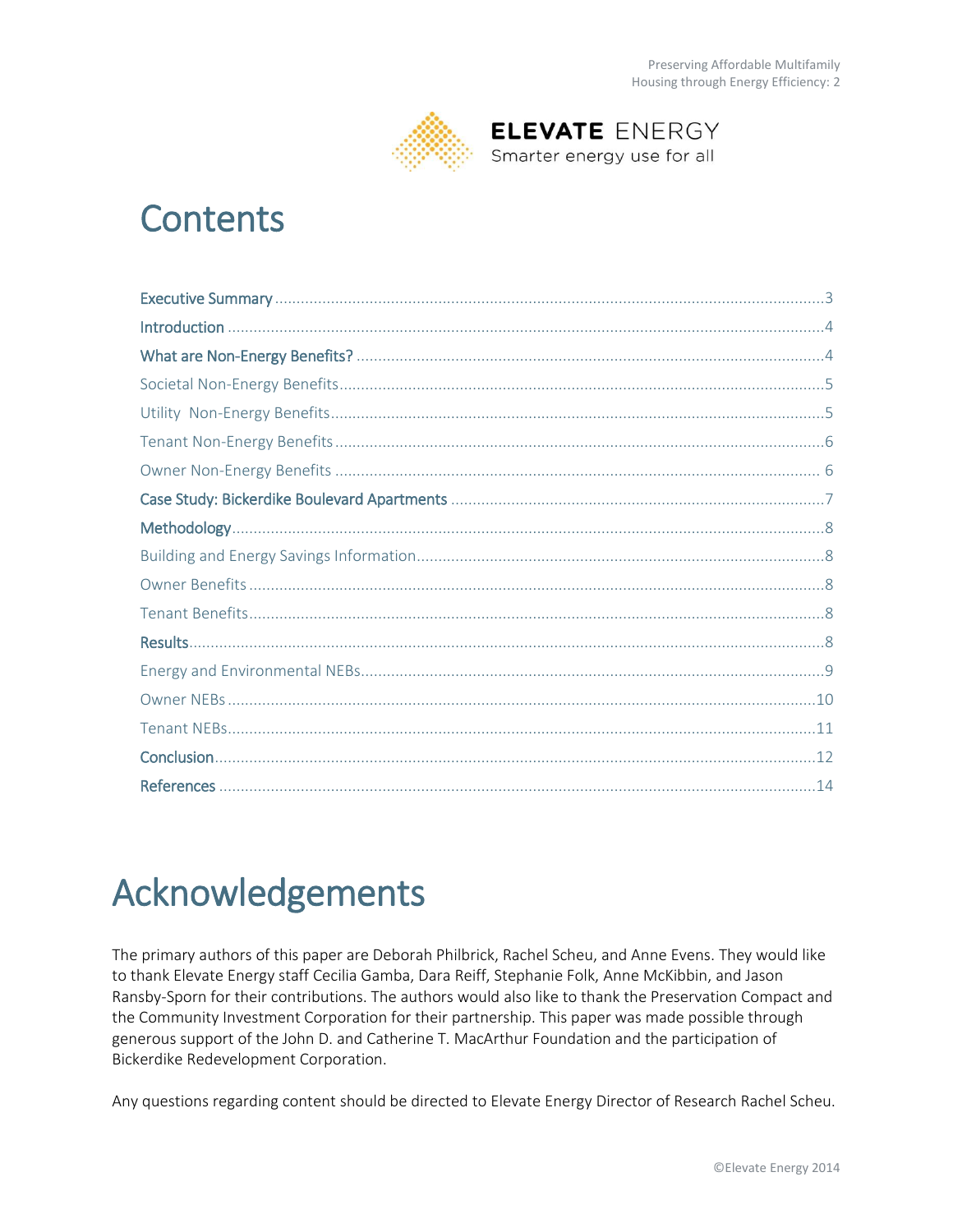

**ELEVATE ENERGY** Smarter energy use for all

## **Contents**

## Acknowledgements

The primary authors of this paper are Deborah Philbrick, Rachel Scheu, and Anne Evens. They would like to thank Elevate Energy staff Cecilia Gamba, Dara Reiff, Stephanie Folk, Anne McKibbin, and Jason Ransby-Sporn for their contributions. The authors would also like to thank the Preservation Compact and the Community Investment Corporation for their partnership. This paper was made possible through generous support of the John D. and Catherine T. MacArthur Foundation and the participation of Bickerdike Redevelopment Corporation.

Any questions regarding content should be directed to Elevate Energy Director of Research Rachel Scheu.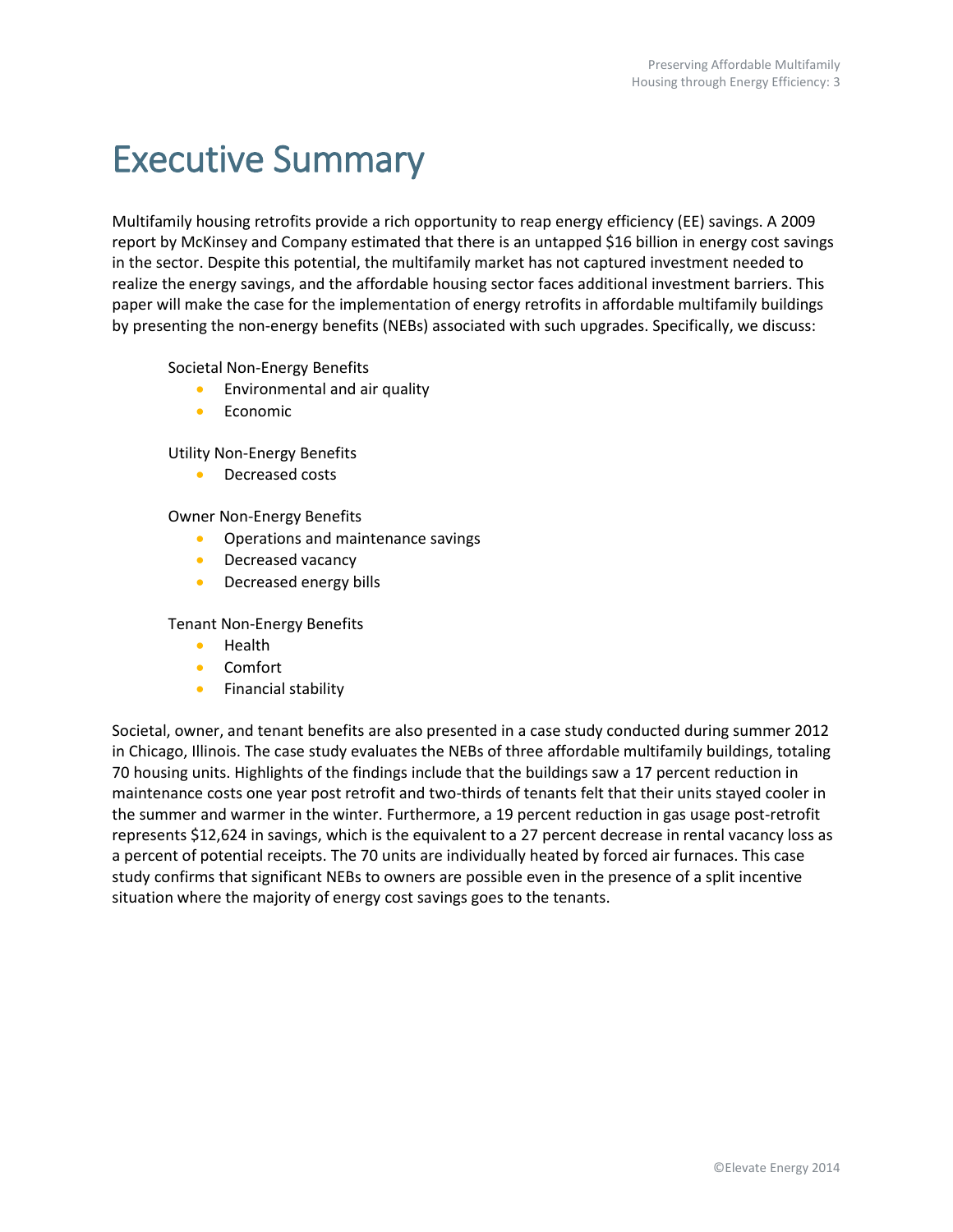## <span id="page-2-0"></span>Executive Summary

Multifamily housing retrofits provide a rich opportunity to reap energy efficiency (EE) savings. A 2009 report by McKinsey and Company estimated that there is an untapped \$16 billion in energy cost savings in the sector. Despite this potential, the multifamily market has not captured investment needed to realize the energy savings, and the affordable housing sector faces additional investment barriers. This paper will make the case for the implementation of energy retrofits in affordable multifamily buildings by presenting the non-energy benefits (NEBs) associated with such upgrades. Specifically, we discuss:

Societal Non-Energy Benefits

- **Environmental and air quality**
- Economic

Utility Non-Energy Benefits

**•** Decreased costs

Owner Non-Energy Benefits

- Operations and maintenance savings
- Decreased vacancy
- Decreased energy bills

Tenant Non-Energy Benefits

- **•** Health
- Comfort
- **•** Financial stability

Societal, owner, and tenant benefits are also presented in a case study conducted during summer 2012 in Chicago, Illinois. The case study evaluates the NEBs of three affordable multifamily buildings, totaling 70 housing units. Highlights of the findings include that the buildings saw a 17 percent reduction in maintenance costs one year post retrofit and two-thirds of tenants felt that their units stayed cooler in the summer and warmer in the winter. Furthermore, a 19 percent reduction in gas usage post-retrofit represents \$12,624 in savings, which is the equivalent to a 27 percent decrease in rental vacancy loss as a percent of potential receipts. The 70 units are individually heated by forced air furnaces. This case study confirms that significant NEBs to owners are possible even in the presence of a split incentive situation where the majority of energy cost savings goes to the tenants.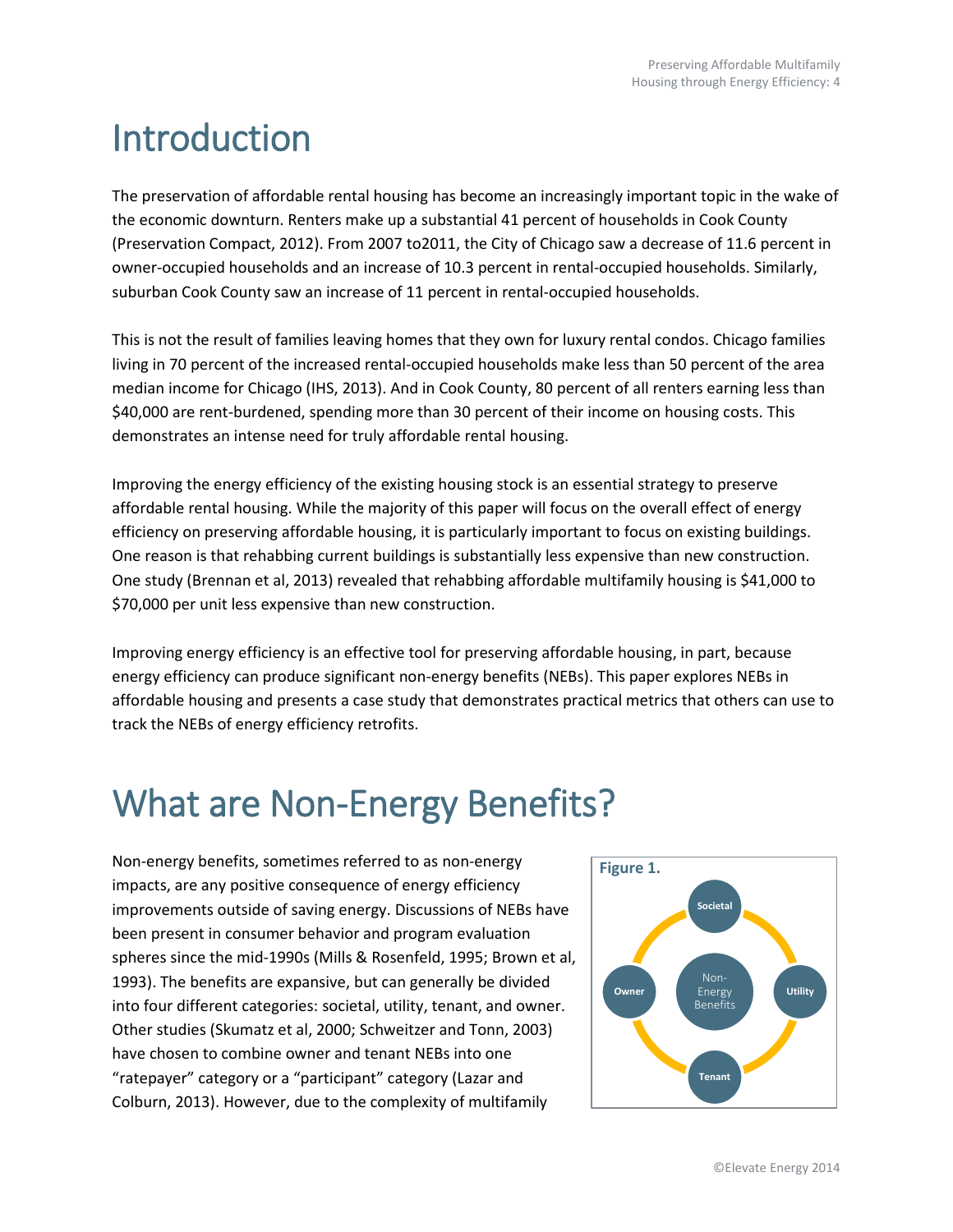## <span id="page-3-0"></span>Introduction

The preservation of affordable rental housing has become an increasingly important topic in the wake of the economic downturn. Renters make up a substantial 41 percent of households in Cook County (Preservation Compact, 2012). From 2007 to2011, the City of Chicago saw a decrease of 11.6 percent in owner-occupied households and an increase of 10.3 percent in rental-occupied households. Similarly, suburban Cook County saw an increase of 11 percent in rental-occupied households.

This is not the result of families leaving homes that they own for luxury rental condos. Chicago families living in 70 percent of the increased rental-occupied households make less than 50 percent of the area median income for Chicago (IHS, 2013). And in Cook County, 80 percent of all renters earning less than \$40,000 are rent-burdened, spending more than 30 percent of their income on housing costs. This demonstrates an intense need for truly affordable rental housing.

Improving the energy efficiency of the existing housing stock is an essential strategy to preserve affordable rental housing. While the majority of this paper will focus on the overall effect of energy efficiency on preserving affordable housing, it is particularly important to focus on existing buildings. One reason is that rehabbing current buildings is substantially less expensive than new construction. One study (Brennan et al, 2013) revealed that rehabbing affordable multifamily housing is \$41,000 to \$70,000 per unit less expensive than new construction.

Improving energy efficiency is an effective tool for preserving affordable housing, in part, because energy efficiency can produce significant non-energy benefits (NEBs). This paper explores NEBs in affordable housing and presents a case study that demonstrates practical metrics that others can use to track the NEBs of energy efficiency retrofits.

## <span id="page-3-1"></span>What are Non-Energy Benefits?

Non-energy benefits, sometimes referred to as non-energy impacts, are any positive consequence of energy efficiency improvements outside of saving energy. Discussions of NEBs have been present in consumer behavior and program evaluation spheres since the mid-1990s (Mills & Rosenfeld, 1995; Brown et al, 1993). The benefits are expansive, but can generally be divided into four different categories: societal, utility, tenant, and owner. Other studies (Skumatz et al, 2000; Schweitzer and Tonn, 2003) have chosen to combine owner and tenant NEBs into one "ratepayer" category or a "participant" category (Lazar and Colburn, 2013). However, due to the complexity of multifamily

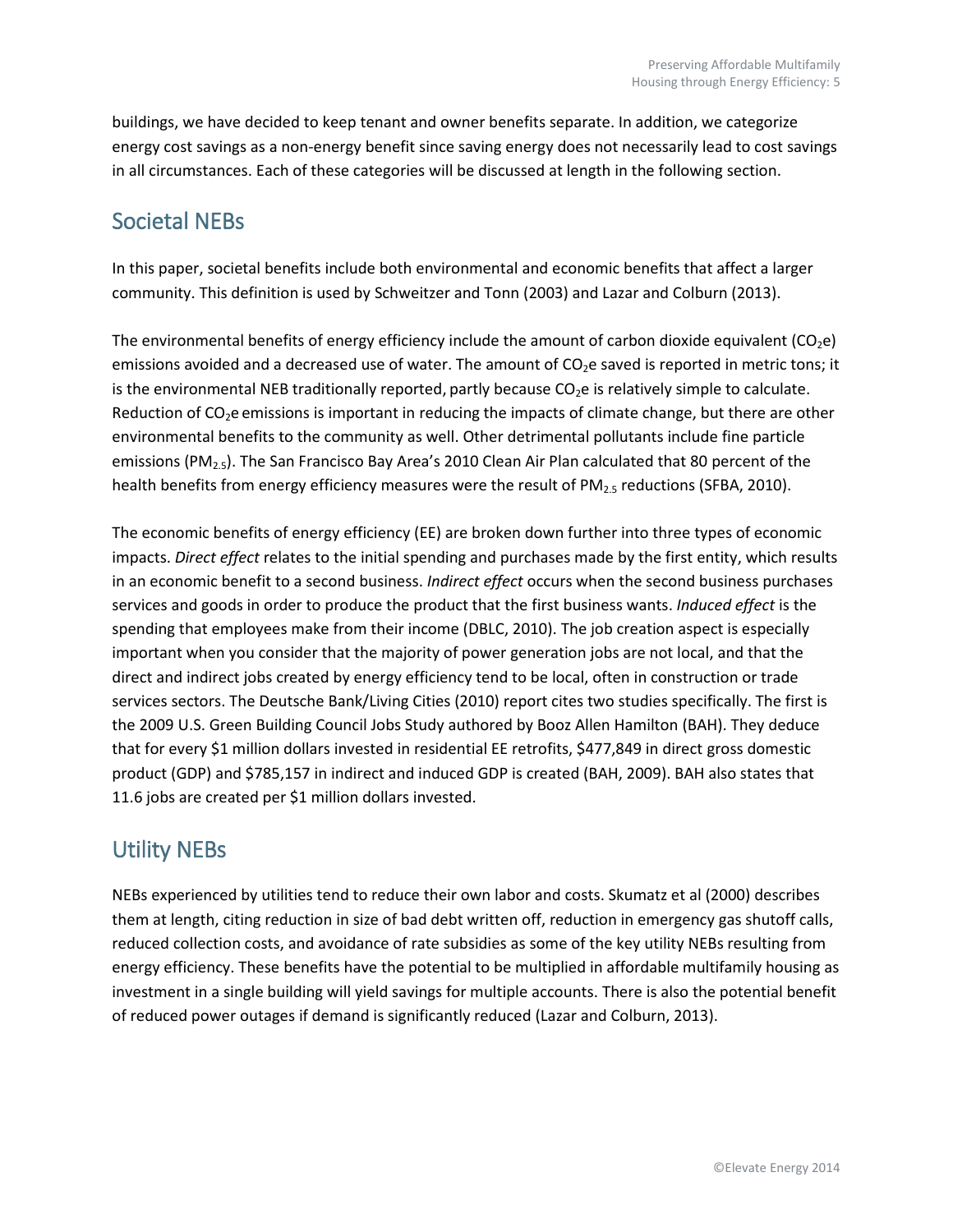buildings, we have decided to keep tenant and owner benefits separate. In addition, we categorize energy cost savings as a non-energy benefit since saving energy does not necessarily lead to cost savings in all circumstances. Each of these categories will be discussed at length in the following section.

### <span id="page-4-0"></span>Societal NEBs

In this paper, societal benefits include both environmental and economic benefits that affect a larger community. This definition is used by Schweitzer and Tonn (2003) and Lazar and Colburn (2013).

The environmental benefits of energy efficiency include the amount of carbon dioxide equivalent ( $CO<sub>2</sub>e$ ) emissions avoided and a decreased use of water. The amount of CO<sub>2</sub>e saved is reported in metric tons; it is the environmental NEB traditionally reported, partly because  $CO<sub>2</sub>$ e is relatively simple to calculate. Reduction of CO<sub>2</sub>e emissions is important in reducing the impacts of climate change, but there are other environmental benefits to the community as well. Other detrimental pollutants include fine particle emissions (PM<sub>2.5</sub>). The San Francisco Bay Area's 2010 Clean Air Plan calculated that 80 percent of the health benefits from energy efficiency measures were the result of PM<sub>2.5</sub> reductions (SFBA, 2010).

The economic benefits of energy efficiency (EE) are broken down further into three types of economic impacts. *Direct effect* relates to the initial spending and purchases made by the first entity, which results in an economic benefit to a second business. *Indirect effect* occurs when the second business purchases services and goods in order to produce the product that the first business wants. *Induced effect* is the spending that employees make from their income (DBLC, 2010). The job creation aspect is especially important when you consider that the majority of power generation jobs are not local, and that the direct and indirect jobs created by energy efficiency tend to be local, often in construction or trade services sectors. The Deutsche Bank/Living Cities (2010) report cites two studies specifically. The first is the 2009 U.S. Green Building Council Jobs Study authored by Booz Allen Hamilton (BAH). They deduce that for every \$1 million dollars invested in residential EE retrofits, \$477,849 in direct gross domestic product (GDP) and \$785,157 in indirect and induced GDP is created (BAH, 2009). BAH also states that 11.6 jobs are created per \$1 million dollars invested.

### <span id="page-4-1"></span>Utility NEBs

<span id="page-4-2"></span>NEBs experienced by utilities tend to reduce their own labor and costs. Skumatz et al (2000) describes them at length, citing reduction in size of bad debt written off, reduction in emergency gas shutoff calls, reduced collection costs, and avoidance of rate subsidies as some of the key utility NEBs resulting from energy efficiency. These benefits have the potential to be multiplied in affordable multifamily housing as investment in a single building will yield savings for multiple accounts. There is also the potential benefit of reduced power outages if demand is significantly reduced (Lazar and Colburn, 2013).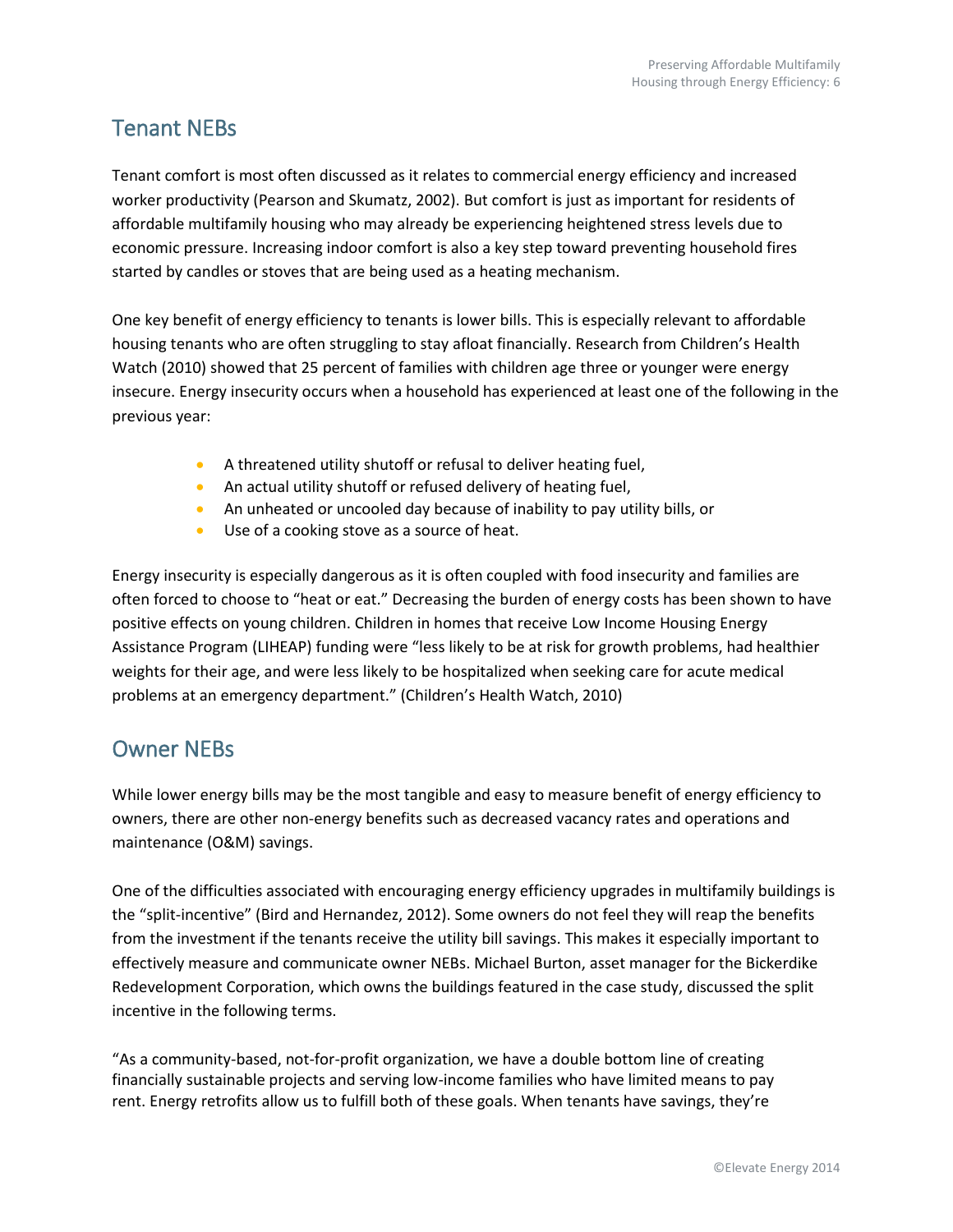### Tenant NEBs

Tenant comfort is most often discussed as it relates to commercial energy efficiency and increased worker productivity (Pearson and Skumatz, 2002). But comfort is just as important for residents of affordable multifamily housing who may already be experiencing heightened stress levels due to economic pressure. Increasing indoor comfort is also a key step toward preventing household fires started by candles or stoves that are being used as a heating mechanism.

One key benefit of energy efficiency to tenants is lower bills. This is especially relevant to affordable housing tenants who are often struggling to stay afloat financially. Research from Children's Health Watch (2010) showed that 25 percent of families with children age three or younger were energy insecure. Energy insecurity occurs when a household has experienced at least one of the following in the previous year:

- A threatened utility shutoff or refusal to deliver heating fuel,
- An actual utility shutoff or refused delivery of heating fuel,
- An unheated or uncooled day because of inability to pay utility bills, or
- Use of a cooking stove as a source of heat.

Energy insecurity is especially dangerous as it is often coupled with food insecurity and families are often forced to choose to "heat or eat." Decreasing the burden of energy costs has been shown to have positive effects on young children. Children in homes that receive Low Income Housing Energy Assistance Program (LIHEAP) funding were "less likely to be at risk for growth problems, had healthier weights for their age, and were less likely to be hospitalized when seeking care for acute medical problems at an emergency department." (Children's Health Watch, 2010)

### <span id="page-5-0"></span>Owner NEBs

While lower energy bills may be the most tangible and easy to measure benefit of energy efficiency to owners, there are other non-energy benefits such as decreased vacancy rates and operations and maintenance (O&M) savings.

One of the difficulties associated with encouraging energy efficiency upgrades in multifamily buildings is the "split-incentive" (Bird and Hernandez, 2012). Some owners do not feel they will reap the benefits from the investment if the tenants receive the utility bill savings. This makes it especially important to effectively measure and communicate owner NEBs. Michael Burton, asset manager for the Bickerdike Redevelopment Corporation, which owns the buildings featured in the case study, discussed the split incentive in the following terms.

"As a community-based, not-for-profit organization, we have a double bottom line of creating financially sustainable projects and serving low-income families who have limited means to pay rent. Energy retrofits allow us to fulfill both of these goals. When tenants have savings, they're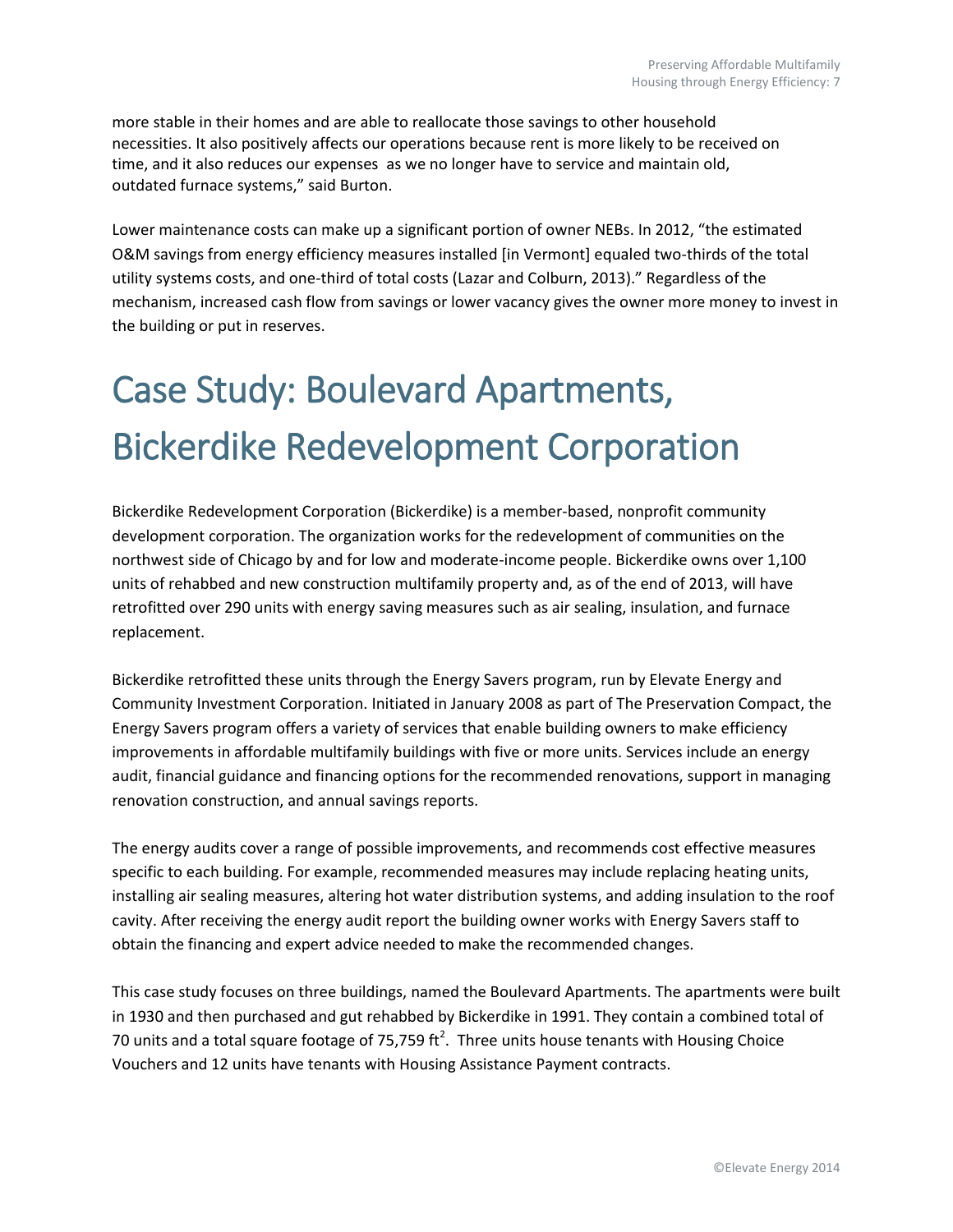more stable in their homes and are able to reallocate those savings to other household necessities. It also positively affects our operations because rent is more likely to be received on time, and it also reduces our expenses as we no longer have to service and maintain old, outdated furnace systems," said Burton.

Lower maintenance costs can make up a significant portion of owner NEBs. In 2012, "the estimated O&M savings from energy efficiency measures installed [in Vermont] equaled two-thirds of the total utility systems costs, and one-third of total costs (Lazar and Colburn, 2013)." Regardless of the mechanism, increased cash flow from savings or lower vacancy gives the owner more money to invest in the building or put in reserves.

## <span id="page-6-0"></span>Case Study: Boulevard Apartments, Bickerdike Redevelopment Corporation

Bickerdike Redevelopment Corporation (Bickerdike) is a member-based, nonprofit community development corporation. The organization works for the redevelopment of communities on the northwest side of Chicago by and for low and moderate-income people. Bickerdike owns over 1,100 units of rehabbed and new construction multifamily property and, as of the end of 2013, will have retrofitted over 290 units with energy saving measures such as air sealing, insulation, and furnace replacement.

Bickerdike retrofitted these units through the Energy Savers program, run by Elevate Energy and Community Investment Corporation. Initiated in January 2008 as part of The Preservation Compact, the Energy Savers program offers a variety of services that enable building owners to make efficiency improvements in affordable multifamily buildings with five or more units. Services include an energy audit, financial guidance and financing options for the recommended renovations, support in managing renovation construction, and annual savings reports.

The energy audits cover a range of possible improvements, and recommends cost effective measures specific to each building. For example, recommended measures may include replacing heating units, installing air sealing measures, altering hot water distribution systems, and adding insulation to the roof cavity. After receiving the energy audit report the building owner works with Energy Savers staff to obtain the financing and expert advice needed to make the recommended changes.

<span id="page-6-1"></span>This case study focuses on three buildings, named the Boulevard Apartments. The apartments were built in 1930 and then purchased and gut rehabbed by Bickerdike in 1991. They contain a combined total of 70 units and a total square footage of 75,759 ft<sup>2</sup>. Three units house tenants with Housing Choice Vouchers and 12 units have tenants with Housing Assistance Payment contracts.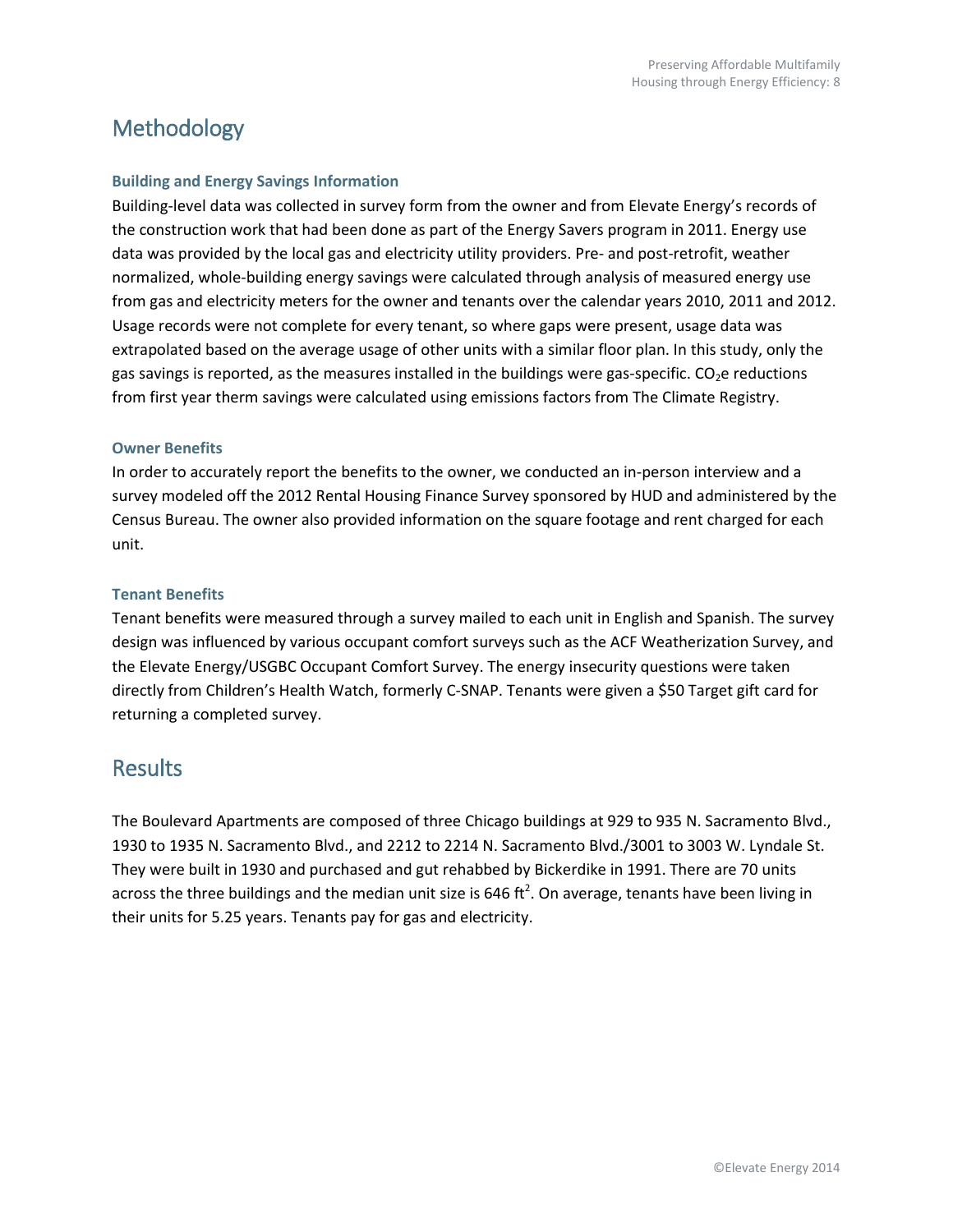### Methodology

#### <span id="page-7-0"></span>**Building and Energy Savings Information**

Building-level data was collected in survey form from the owner and from Elevate Energy's records of the construction work that had been done as part of the Energy Savers program in 2011. Energy use data was provided by the local gas and electricity utility providers. Pre- and post-retrofit, weather normalized, whole-building energy savings were calculated through analysis of measured energy use from gas and electricity meters for the owner and tenants over the calendar years 2010, 2011 and 2012. Usage records were not complete for every tenant, so where gaps were present, usage data was extrapolated based on the average usage of other units with a similar floor plan. In this study, only the gas savings is reported, as the measures installed in the buildings were gas-specific.  $CO<sub>2</sub>e$  reductions from first year therm savings were calculated using emissions factors from The Climate Registry.

#### <span id="page-7-1"></span>**Owner Benefits**

In order to accurately report the benefits to the owner, we conducted an in-person interview and a survey modeled off the 2012 Rental Housing Finance Survey sponsored by HUD and administered by the Census Bureau. The owner also provided information on the square footage and rent charged for each unit.

#### <span id="page-7-2"></span>**Tenant Benefits**

Tenant benefits were measured through a survey mailed to each unit in English and Spanish. The survey design was influenced by various occupant comfort surveys such as the ACF Weatherization Survey, and the Elevate Energy/USGBC Occupant Comfort Survey. The energy insecurity questions were taken directly from Children's Health Watch, formerly C-SNAP. Tenants were given a \$50 Target gift card for returning a completed survey.

### <span id="page-7-3"></span>**Results**

The Boulevard Apartments are composed of three Chicago buildings at 929 to 935 N. Sacramento Blvd., 1930 to 1935 N. Sacramento Blvd., and 2212 to 2214 N. Sacramento Blvd./3001 to 3003 W. Lyndale St. They were built in 1930 and purchased and gut rehabbed by Bickerdike in 1991. There are 70 units across the three buildings and the median unit size is 646 ft<sup>2</sup>. On average, tenants have been living in their units for 5.25 years. Tenants pay for gas and electricity.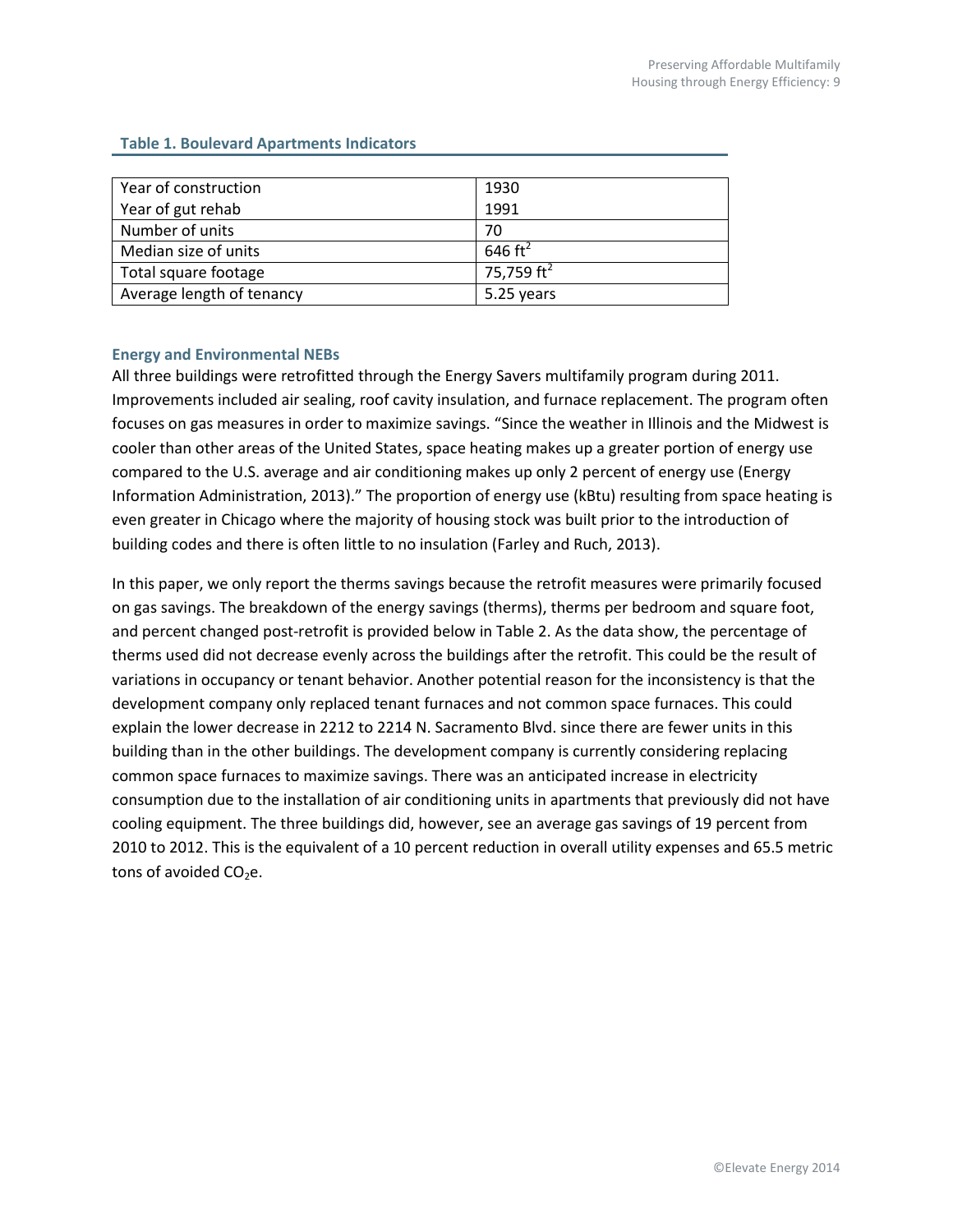| Year of construction      | 1930                   |
|---------------------------|------------------------|
| Year of gut rehab         | 1991                   |
| Number of units           | 70                     |
| Median size of units      | 646 ft <sup>2</sup>    |
| Total square footage      | 75,759 ft <sup>2</sup> |
| Average length of tenancy | 5.25 years             |

#### **Table 1. Boulevard Apartments Indicators**

#### <span id="page-8-0"></span>**Energy and Environmental NEBs**

All three buildings were retrofitted through the Energy Savers multifamily program during 2011. Improvements included air sealing, roof cavity insulation, and furnace replacement. The program often focuses on gas measures in order to maximize savings. "Since the weather in Illinois and the Midwest is cooler than other areas of the United States, space heating makes up a greater portion of energy use compared to the U.S. average and air conditioning makes up only 2 percent of energy use (Energy Information Administration, 2013)." The proportion of energy use (kBtu) resulting from space heating is even greater in Chicago where the majority of housing stock was built prior to the introduction of building codes and there is often little to no insulation (Farley and Ruch, 2013).

In this paper, we only report the therms savings because the retrofit measures were primarily focused on gas savings. The breakdown of the energy savings (therms), therms per bedroom and square foot, and percent changed post-retrofit is provided below in Table 2. As the data show, the percentage of therms used did not decrease evenly across the buildings after the retrofit. This could be the result of variations in occupancy or tenant behavior. Another potential reason for the inconsistency is that the development company only replaced tenant furnaces and not common space furnaces. This could explain the lower decrease in 2212 to 2214 N. Sacramento Blvd. since there are fewer units in this building than in the other buildings. The development company is currently considering replacing common space furnaces to maximize savings. There was an anticipated increase in electricity consumption due to the installation of air conditioning units in apartments that previously did not have cooling equipment. The three buildings did, however, see an average gas savings of 19 percent from 2010 to 2012. This is the equivalent of a 10 percent reduction in overall utility expenses and 65.5 metric tons of avoided  $CO<sub>2</sub>e$ .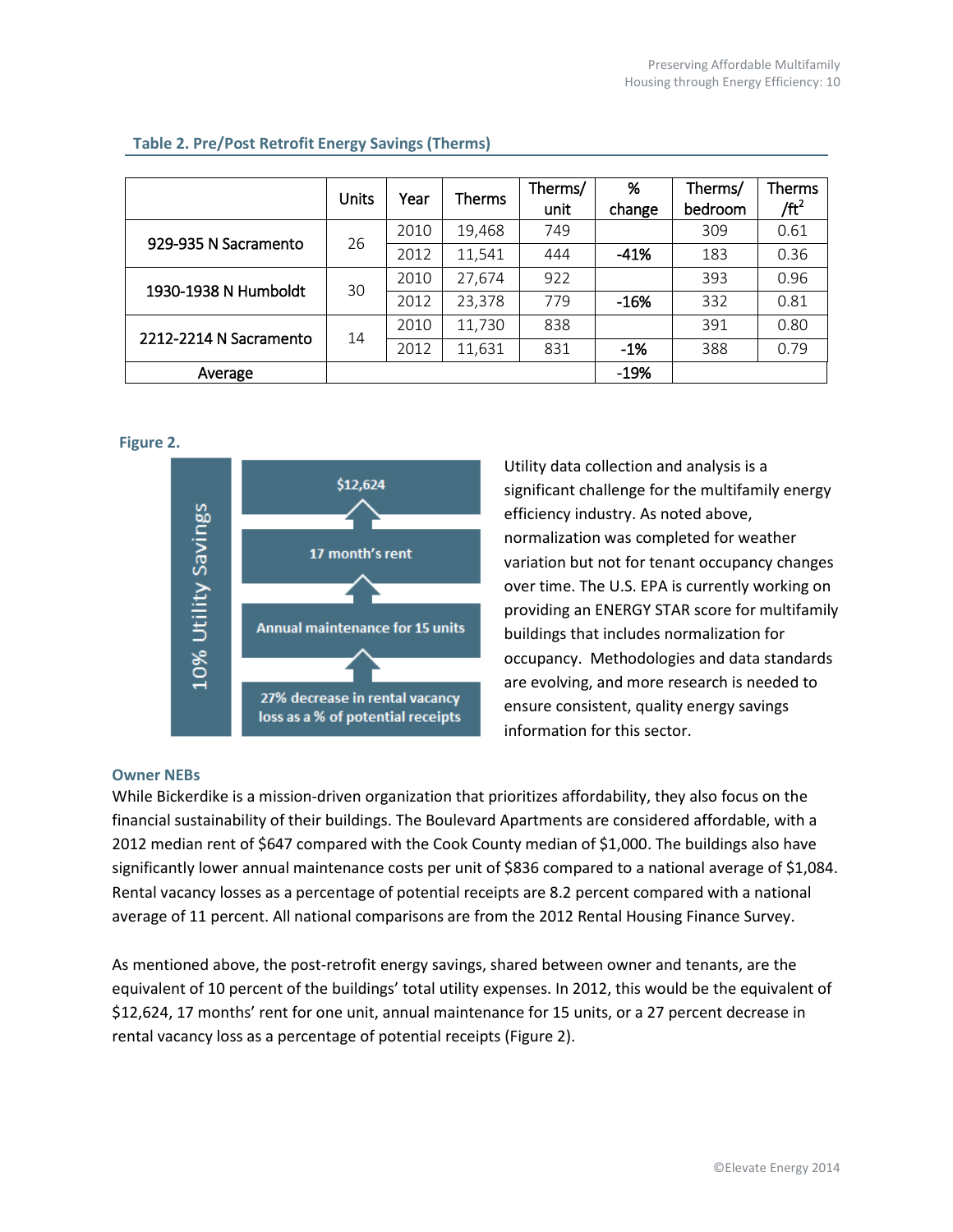|                        | Units | Year | Therms | Therms/<br>unit | %<br>change | Therms/<br>bedroom | Therms<br>/ft <sup>2</sup> |
|------------------------|-------|------|--------|-----------------|-------------|--------------------|----------------------------|
| 929-935 N Sacramento   | 26    | 2010 | 19,468 | 749             |             | 309                | 0.61                       |
|                        |       | 2012 | 11,541 | 444             | $-41%$      | 183                | 0.36                       |
| 1930-1938 N Humboldt   | 30    | 2010 | 27,674 | 922             |             | 393                | 0.96                       |
|                        |       | 2012 | 23,378 | 779             | $-16%$      | 332                | 0.81                       |
| 2212-2214 N Sacramento | 14    | 2010 | 11,730 | 838             |             | 391                | 0.80                       |
|                        |       | 2012 | 11,631 | 831             | $-1%$       | 388                | 0.79                       |
| Average                |       |      |        |                 | $-19%$      |                    |                            |

#### **Table 2. Pre/Post Retrofit Energy Savings (Therms)**

**Figure 2.**



Utility data collection and analysis is a significant challenge for the multifamily energy efficiency industry. As noted above, normalization was completed for weather variation but not for tenant occupancy changes over time. The U.S. EPA is currently working on providing an ENERGY STAR score for multifamily buildings that includes normalization for occupancy. Methodologies and data standards are evolving, and more research is needed to ensure consistent, quality energy savings information for this sector.

#### <span id="page-9-0"></span>**Owner NEBs**

While Bickerdike is a mission-driven organization that prioritizes affordability, they also focus on the financial sustainability of their buildings. The Boulevard Apartments are considered affordable, with a 2012 median rent of \$647 compared with the Cook County median of \$1,000. The buildings also have significantly lower annual maintenance costs per unit of \$836 compared to a national average of \$1,084. Rental vacancy losses as a percentage of potential receipts are 8.2 percent compared with a national average of 11 percent. All national comparisons are from the 2012 Rental Housing Finance Survey.

As mentioned above, the post-retrofit energy savings, shared between owner and tenants, are the equivalent of 10 percent of the buildings' total utility expenses. In 2012, this would be the equivalent of \$12,624, 17 months' rent for one unit, annual maintenance for 15 units, or a 27 percent decrease in rental vacancy loss as a percentage of potential receipts (Figure 2).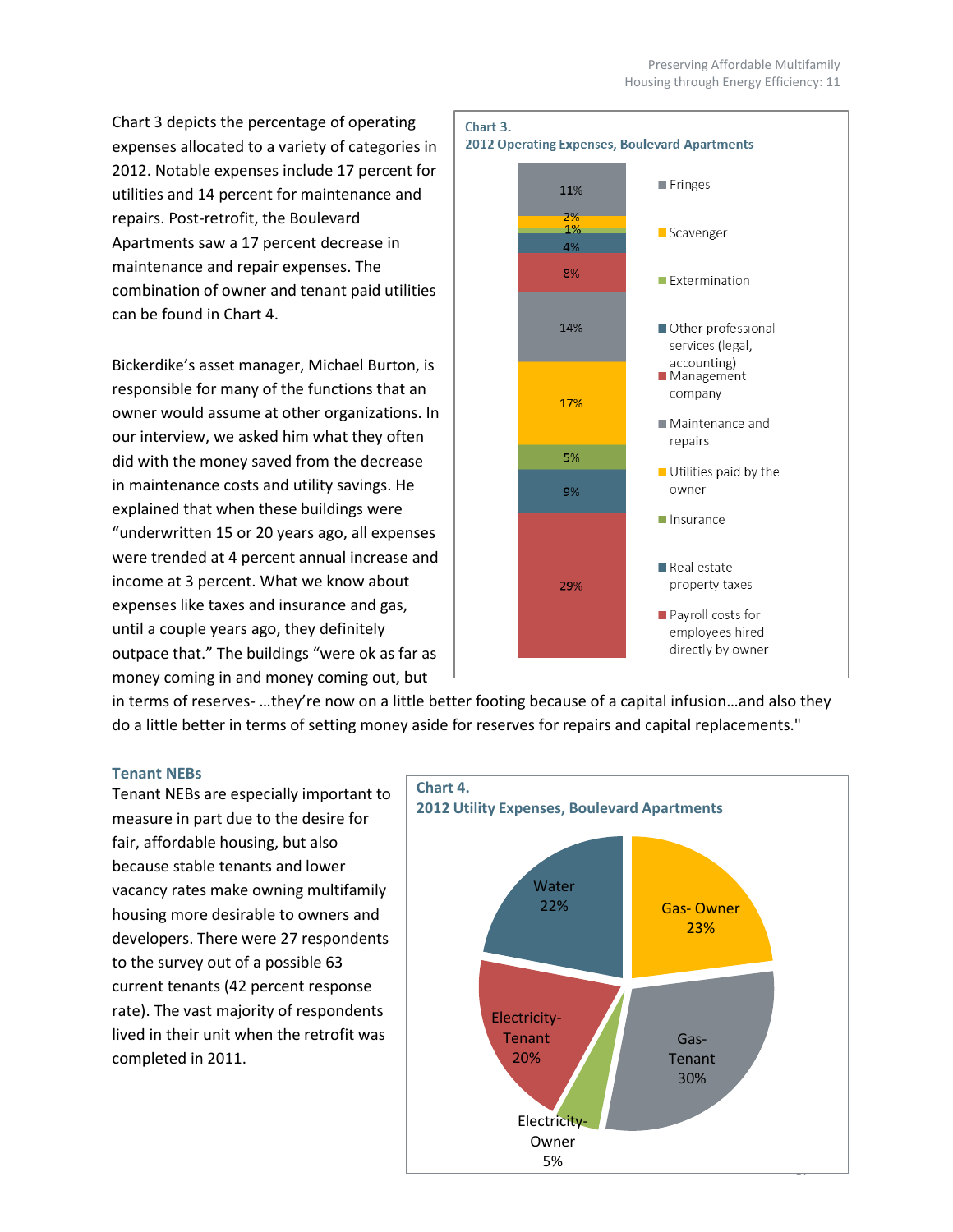Chart 3 depicts the percentage of operating expenses allocated to a variety of categories in 2012. Notable expenses include 17 percent for utilities and 14 percent for maintenance and repairs. Post-retrofit, the Boulevard Apartments saw a 17 percent decrease in maintenance and repair expenses. The combination of owner and tenant paid utilities can be found in Chart 4.

Bickerdike's asset manager, Michael Burton, is responsible for many of the functions that an owner would assume at other organizations. In our interview, we asked him what they often did with the money saved from the decrease in maintenance costs and utility savings. He explained that when these buildings were "underwritten 15 or 20 years ago, all expenses were trended at 4 percent annual increase and income at 3 percent. What we know about expenses like taxes and insurance and gas, until a couple years ago, they definitely outpace that." The buildings "were ok as far as money coming in and money coming out, but



in terms of reserves- …they're now on a little better footing because of a capital infusion…and also they do a little better in terms of setting money aside for reserves for repairs and capital replacements."

#### <span id="page-10-0"></span>**Tenant NEBs**

Tenant NEBs are especially important to measure in part due to the desire for fair, affordable housing, but also because stable tenants and lower vacancy rates make owning multifamily housing more desirable to owners and developers. There were 27 respondents to the survey out of a possible 63 current tenants (42 percent response rate). The vast majority of respondents lived in their unit when the retrofit was completed in 2011.

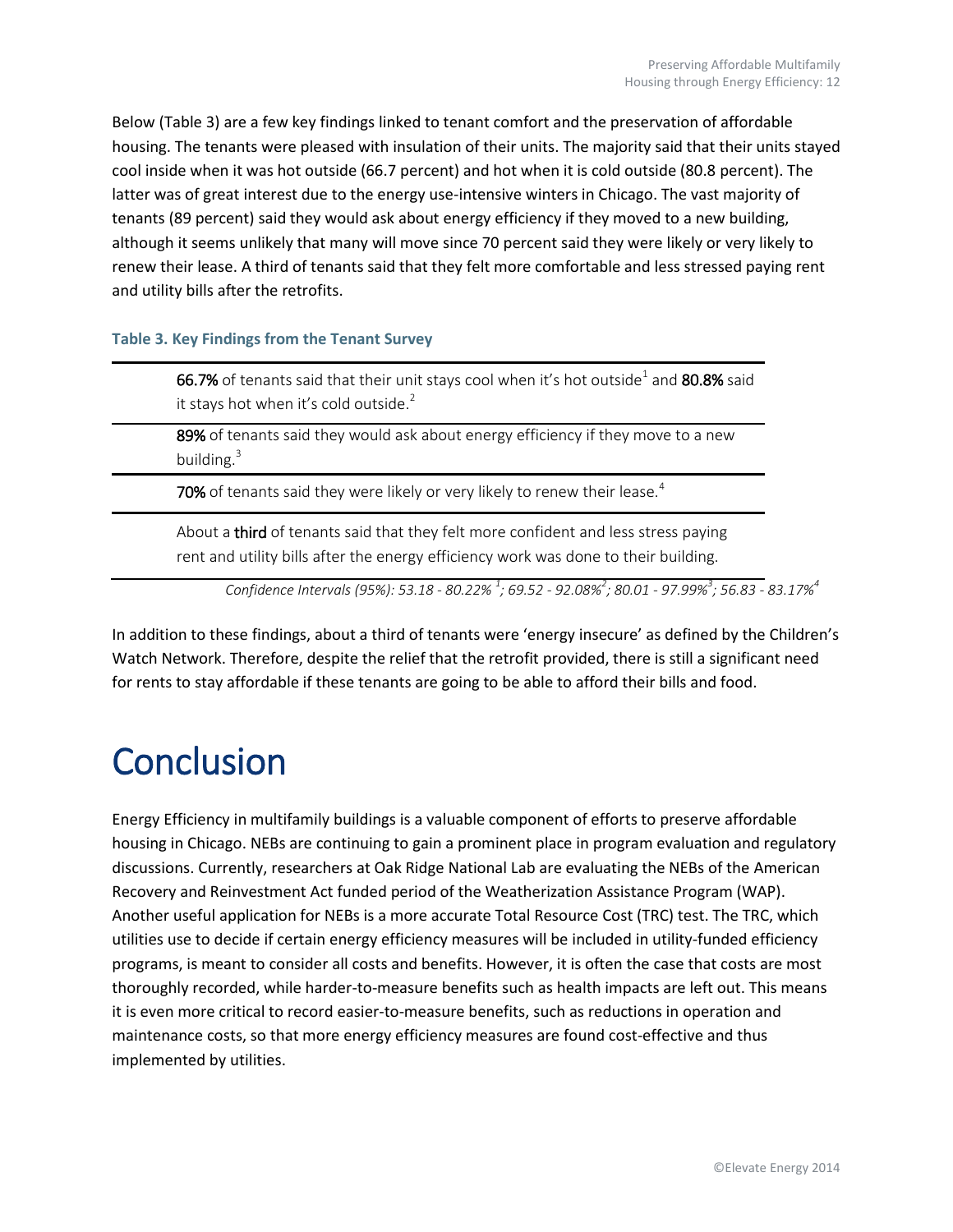Below (Table 3) are a few key findings linked to tenant comfort and the preservation of affordable housing. The tenants were pleased with insulation of their units. The majority said that their units stayed cool inside when it was hot outside (66.7 percent) and hot when it is cold outside (80.8 percent). The latter was of great interest due to the energy use-intensive winters in Chicago. The vast majority of tenants (89 percent) said they would ask about energy efficiency if they moved to a new building, although it seems unlikely that many will move since 70 percent said they were likely or very likely to renew their lease. A third of tenants said that they felt more comfortable and less stressed paying rent and utility bills after the retrofits.

#### **Table 3. Key Findings from the Tenant Survey**

**66.7%** of tenants said that their unit stays cool when it's hot outside $^1$  and  $\bf{80.8\%}$  said it stays hot when it's cold outside. $2$ 

89% of tenants said they would ask about energy efficiency if they move to a new building. $3$ 

70% of tenants said they were likely or very likely to renew their lease.<sup>4</sup>

About a third of tenants said that they felt more confident and less stress paying rent and utility bills after the energy efficiency work was done to their building.

*Confidence Intervals (95%): 53.18 - 80.22% <sup>1</sup> ; 69.52 - 92.08%<sup>2</sup> ; 80.01 - 97.99%<sup>3</sup> ; 56.83 - 83.17%<sup>4</sup>*

In addition to these findings, about a third of tenants were 'energy insecure' as defined by the Children's Watch Network. Therefore, despite the relief that the retrofit provided, there is still a significant need for rents to stay affordable if these tenants are going to be able to afford their bills and food.

## <span id="page-11-0"></span>**Conclusion**

Energy Efficiency in multifamily buildings is a valuable component of efforts to preserve affordable housing in Chicago. NEBs are continuing to gain a prominent place in program evaluation and regulatory discussions. Currently, researchers at Oak Ridge National Lab are evaluating the NEBs of the American Recovery and Reinvestment Act funded period of the Weatherization Assistance Program (WAP). Another useful application for NEBs is a more accurate Total Resource Cost (TRC) test. The TRC, which utilities use to decide if certain energy efficiency measures will be included in utility-funded efficiency programs, is meant to consider all costs and benefits. However, it is often the case that costs are most thoroughly recorded, while harder-to-measure benefits such as health impacts are left out. This means it is even more critical to record easier-to-measure benefits, such as reductions in operation and maintenance costs, so that more energy efficiency measures are found cost-effective and thus implemented by utilities.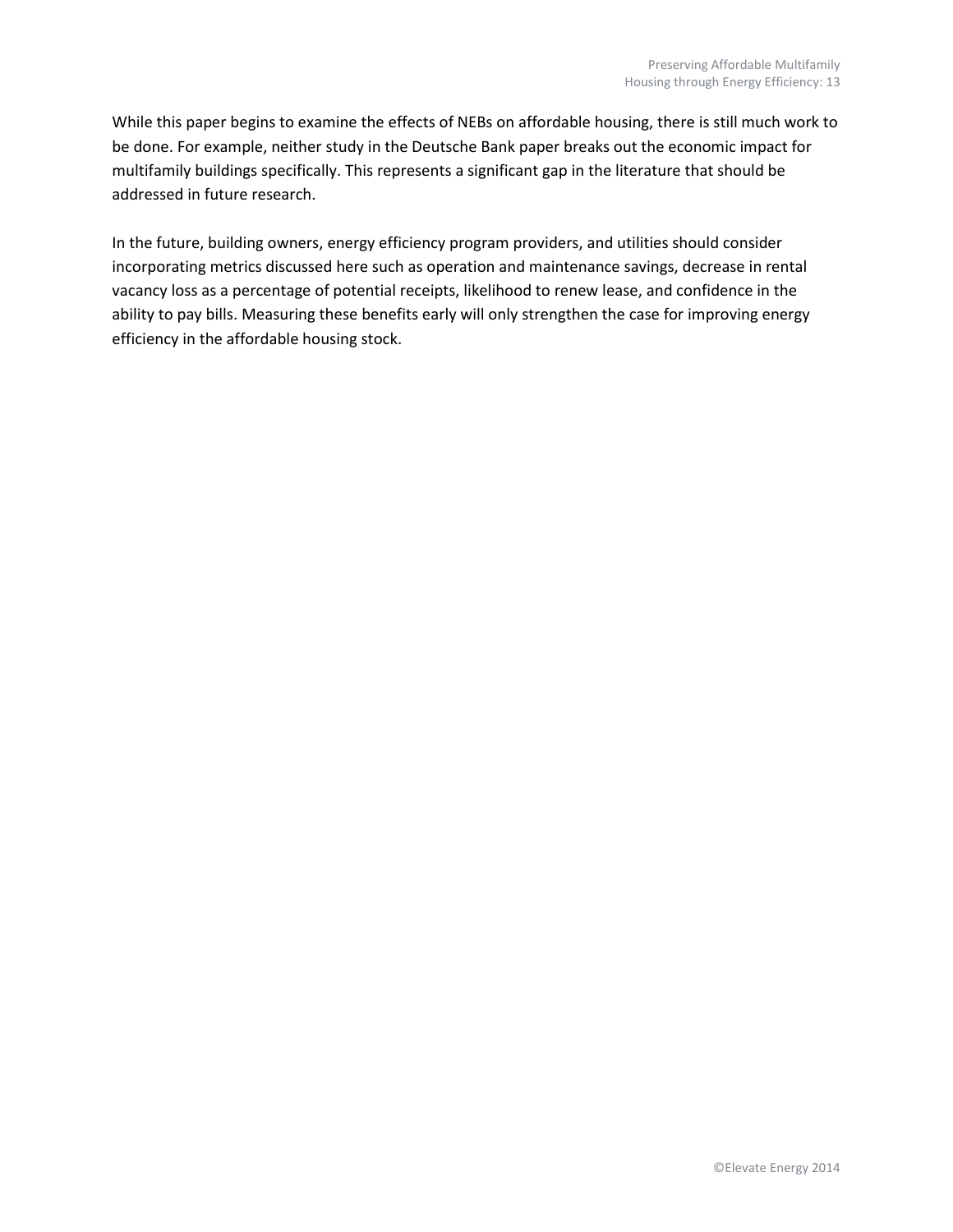While this paper begins to examine the effects of NEBs on affordable housing, there is still much work to be done. For example, neither study in the Deutsche Bank paper breaks out the economic impact for multifamily buildings specifically. This represents a significant gap in the literature that should be addressed in future research.

<span id="page-12-0"></span>In the future, building owners, energy efficiency program providers, and utilities should consider incorporating metrics discussed here such as operation and maintenance savings, decrease in rental vacancy loss as a percentage of potential receipts, likelihood to renew lease, and confidence in the ability to pay bills. Measuring these benefits early will only strengthen the case for improving energy efficiency in the affordable housing stock.